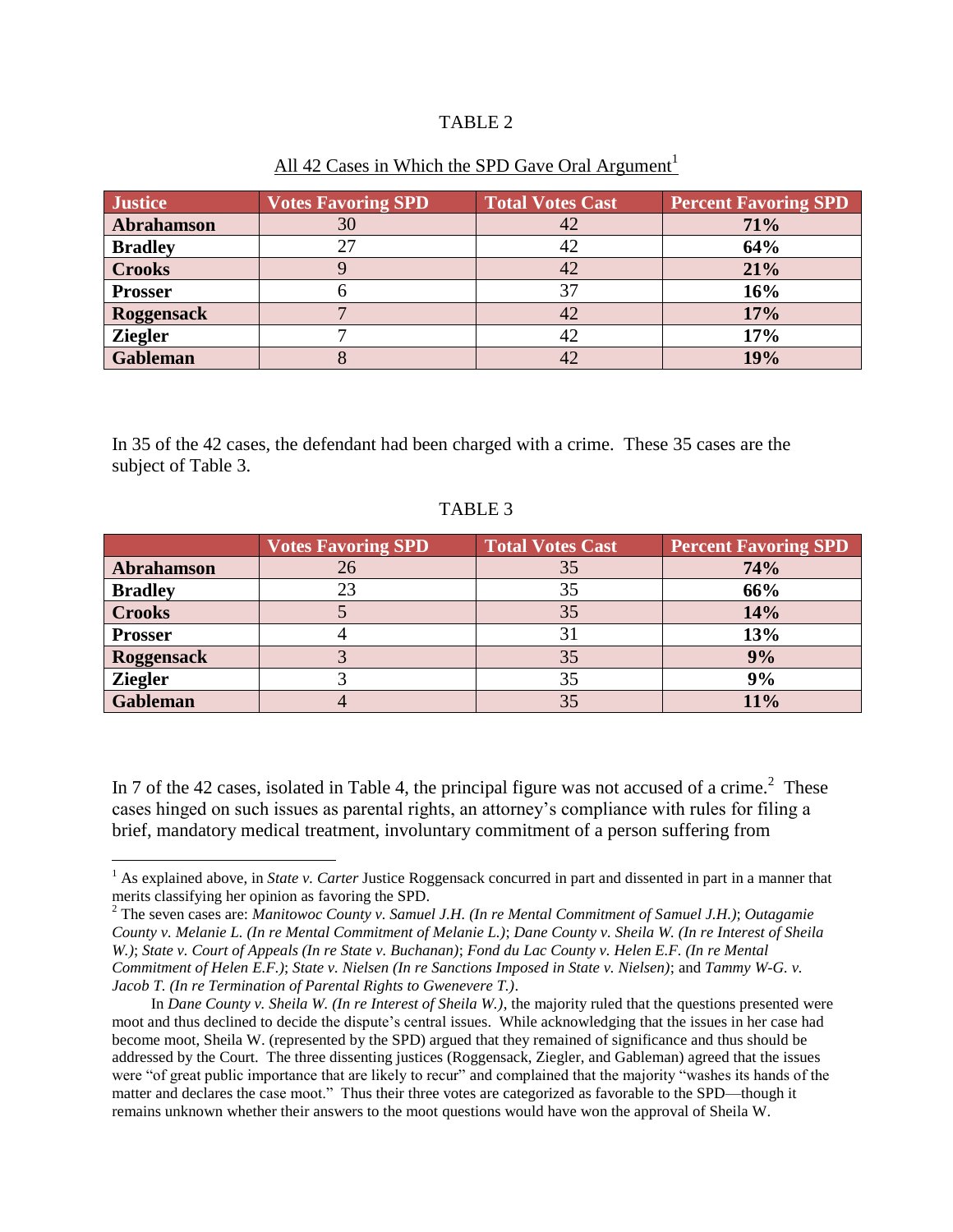## TABLE 2

| <b>Justice</b>    | <b>Votes Favoring SPD</b> | <b>Total Votes Cast</b> | <b>Percent Favoring SPD</b> |
|-------------------|---------------------------|-------------------------|-----------------------------|
| Abrahamson        | 30                        | 42                      | 71%                         |
| <b>Bradley</b>    | 27                        | 42                      | 64%                         |
| <b>Crooks</b>     |                           | 42                      | 21%                         |
| <b>Prosser</b>    |                           | 37                      | 16%                         |
| <b>Roggensack</b> |                           | 42                      | 17%                         |
| <b>Ziegler</b>    |                           | 42                      | 17%                         |
| <b>Gableman</b>   |                           | 42                      | 19%                         |

## All 42 Cases in Which the SPD Gave Oral Argument<sup>1</sup>

In 35 of the 42 cases, the defendant had been charged with a crime. These 35 cases are the subject of Table 3.

## TABLE 3

|                 | <b>Votes Favoring SPD</b> | <b>Total Votes Cast</b> | <b>Percent Favoring SPD</b> |
|-----------------|---------------------------|-------------------------|-----------------------------|
| Abrahamson      | 26                        | 35                      | 74%                         |
| <b>Bradley</b>  |                           | 35                      | 66%                         |
| <b>Crooks</b>   |                           | 35                      | 14%                         |
| <b>Prosser</b>  |                           |                         | 13%                         |
| Roggensack      |                           | 35                      | 9%                          |
| <b>Ziegler</b>  |                           | 35                      | 9%                          |
| <b>Gableman</b> |                           | 35                      | 11%                         |

In 7 of the 42 cases, isolated in Table 4, the principal figure was not accused of a crime.<sup>2</sup> These cases hinged on such issues as parental rights, an attorney's compliance with rules for filing a brief, mandatory medical treatment, involuntary commitment of a person suffering from

 $\overline{a}$ 

<sup>&</sup>lt;sup>1</sup> As explained above, in *State v. Carter* Justice Roggensack concurred in part and dissented in part in a manner that merits classifying her opinion as favoring the SPD.

<sup>2</sup> The seven cases are: *Manitowoc County v. Samuel J.H. (In re Mental Commitment of Samuel J.H.)*; *Outagamie County v. Melanie L. (In re Mental Commitment of Melanie L.)*; *Dane County v. Sheila W. (In re Interest of Sheila W.)*; *State v. Court of Appeals (In re State v. Buchanan)*; *Fond du Lac County v. Helen E.F. (In re Mental Commitment of Helen E.F.)*; *State v. Nielsen (In re Sanctions Imposed in State v. Nielsen)*; and *Tammy W-G. v. Jacob T. (In re Termination of Parental Rights to Gwenevere T.)*.

In *Dane County v. Sheila W. (In re Interest of Sheila W.)*, the majority ruled that the questions presented were moot and thus declined to decide the dispute's central issues. While acknowledging that the issues in her case had become moot, Sheila W. (represented by the SPD) argued that they remained of significance and thus should be addressed by the Court. The three dissenting justices (Roggensack, Ziegler, and Gableman) agreed that the issues were "of great public importance that are likely to recur" and complained that the majority "washes its hands of the matter and declares the case moot." Thus their three votes are categorized as favorable to the SPD—though it remains unknown whether their answers to the moot questions would have won the approval of Sheila W.